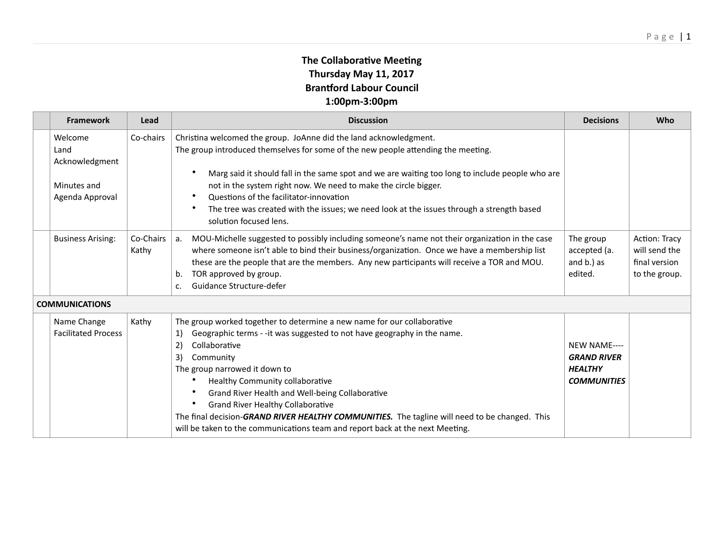## **The Collaborative Meeting Thursday May 11, 2017 Brantford Labour Council 1:00pm-3:00pm**

| <b>Framework</b>                                                    | Lead               | <b>Discussion</b>                                                                                                                                                                                                                                                                                                                                                                                                                                                                                                                                       | <b>Decisions</b>                                                           | Who                                                                     |  |  |
|---------------------------------------------------------------------|--------------------|---------------------------------------------------------------------------------------------------------------------------------------------------------------------------------------------------------------------------------------------------------------------------------------------------------------------------------------------------------------------------------------------------------------------------------------------------------------------------------------------------------------------------------------------------------|----------------------------------------------------------------------------|-------------------------------------------------------------------------|--|--|
| Welcome<br>Land<br>Acknowledgment<br>Minutes and<br>Agenda Approval | Co-chairs          | Christina welcomed the group. JoAnne did the land acknowledgment.<br>The group introduced themselves for some of the new people attending the meeting.<br>Marg said it should fall in the same spot and we are waiting too long to include people who are<br>not in the system right now. We need to make the circle bigger.<br>Questions of the facilitator-innovation<br>٠<br>The tree was created with the issues; we need look at the issues through a strength based<br>$\bullet$                                                                  |                                                                            |                                                                         |  |  |
| <b>Business Arising:</b>                                            | Co-Chairs<br>Kathy | solution focused lens.<br>MOU-Michelle suggested to possibly including someone's name not their organization in the case<br>l a.<br>where someone isn't able to bind their business/organization. Once we have a membership list<br>these are the people that are the members. Any new participants will receive a TOR and MOU.<br>TOR approved by group.<br>b.<br>Guidance Structure-defer<br>C.                                                                                                                                                       | The group<br>accepted (a.<br>and b.) as<br>edited.                         | <b>Action: Tracy</b><br>will send the<br>final version<br>to the group. |  |  |
| <b>COMMUNICATIONS</b>                                               |                    |                                                                                                                                                                                                                                                                                                                                                                                                                                                                                                                                                         |                                                                            |                                                                         |  |  |
| Name Change<br><b>Facilitated Process</b>                           | Kathy              | The group worked together to determine a new name for our collaborative<br>Geographic terms - -it was suggested to not have geography in the name.<br>1)<br>Collaborative<br>2)<br>3)<br>Community<br>The group narrowed it down to<br>Healthy Community collaborative<br>Grand River Health and Well-being Collaborative<br><b>Grand River Healthy Collaborative</b><br>The final decision-GRAND RIVER HEALTHY COMMUNITIES. The tagline will need to be changed. This<br>will be taken to the communications team and report back at the next Meeting. | NEW NAME----<br><b>GRAND RIVER</b><br><b>HEALTHY</b><br><b>COMMUNITIES</b> |                                                                         |  |  |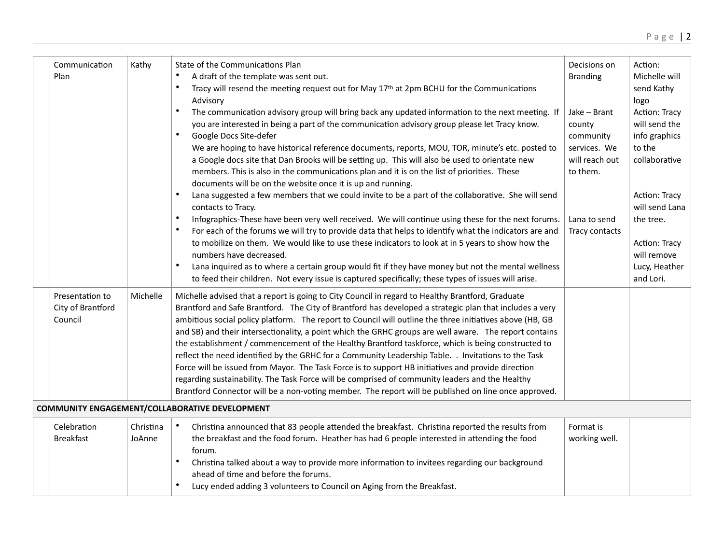|  | Communication<br>Plan                           | Kathy               | State of the Communications Plan<br>A draft of the template was sent out.<br>Tracy will resend the meeting request out for May 17th at 2pm BCHU for the Communications<br>Advisory<br>The communication advisory group will bring back any updated information to the next meeting. If<br>you are interested in being a part of the communication advisory group please let Tracy know.<br>Google Docs Site-defer<br>We are hoping to have historical reference documents, reports, MOU, TOR, minute's etc. posted to<br>a Google docs site that Dan Brooks will be setting up. This will also be used to orientate new<br>members. This is also in the communications plan and it is on the list of priorities. These<br>documents will be on the website once it is up and running.                                                                                                                                                                           | Decisions on<br><b>Branding</b><br>Jake - Brant<br>county<br>community<br>services. We<br>will reach out<br>to them. | Action:<br>Michelle will<br>send Kathy<br>logo<br>Action: Tracy<br>will send the<br>info graphics<br>to the<br>collaborative |
|--|-------------------------------------------------|---------------------|-----------------------------------------------------------------------------------------------------------------------------------------------------------------------------------------------------------------------------------------------------------------------------------------------------------------------------------------------------------------------------------------------------------------------------------------------------------------------------------------------------------------------------------------------------------------------------------------------------------------------------------------------------------------------------------------------------------------------------------------------------------------------------------------------------------------------------------------------------------------------------------------------------------------------------------------------------------------|----------------------------------------------------------------------------------------------------------------------|------------------------------------------------------------------------------------------------------------------------------|
|  |                                                 |                     | Lana suggested a few members that we could invite to be a part of the collaborative. She will send<br>contacts to Tracy.<br>Infographics-These have been very well received. We will continue using these for the next forums.<br>For each of the forums we will try to provide data that helps to identify what the indicators are and<br>to mobilize on them. We would like to use these indicators to look at in 5 years to show how the<br>numbers have decreased.<br>Lana inquired as to where a certain group would fit if they have money but not the mental wellness<br>to feed their children. Not every issue is captured specifically; these types of issues will arise.                                                                                                                                                                                                                                                                             | Lana to send<br>Tracy contacts                                                                                       | Action: Tracy<br>will send Lana<br>the tree.<br>Action: Tracy<br>will remove<br>Lucy, Heather<br>and Lori.                   |
|  | Presentation to<br>City of Brantford<br>Council | Michelle            | Michelle advised that a report is going to City Council in regard to Healthy Brantford, Graduate<br>Brantford and Safe Brantford. The City of Brantford has developed a strategic plan that includes a very<br>ambitious social policy platform. The report to Council will outline the three initiatives above (HB, GB<br>and SB) and their intersectionality, a point which the GRHC groups are well aware. The report contains<br>the establishment / commencement of the Healthy Brantford taskforce, which is being constructed to<br>reflect the need identified by the GRHC for a Community Leadership Table. . Invitations to the Task<br>Force will be issued from Mayor. The Task Force is to support HB initiatives and provide direction<br>regarding sustainability. The Task Force will be comprised of community leaders and the Healthy<br>Brantford Connector will be a non-voting member. The report will be published on line once approved. |                                                                                                                      |                                                                                                                              |
|  |                                                 |                     | COMMUNITY ENGAGEMENT/COLLABORATIVE DEVELOPMENT                                                                                                                                                                                                                                                                                                                                                                                                                                                                                                                                                                                                                                                                                                                                                                                                                                                                                                                  |                                                                                                                      |                                                                                                                              |
|  | Celebration<br><b>Breakfast</b>                 | Christina<br>JoAnne | Christina announced that 83 people attended the breakfast. Christina reported the results from<br>$\bullet$<br>the breakfast and the food forum. Heather has had 6 people interested in attending the food<br>forum.<br>Christina talked about a way to provide more information to invitees regarding our background<br>ahead of time and before the forums.<br>Lucy ended adding 3 volunteers to Council on Aging from the Breakfast.                                                                                                                                                                                                                                                                                                                                                                                                                                                                                                                         | Format is<br>working well.                                                                                           |                                                                                                                              |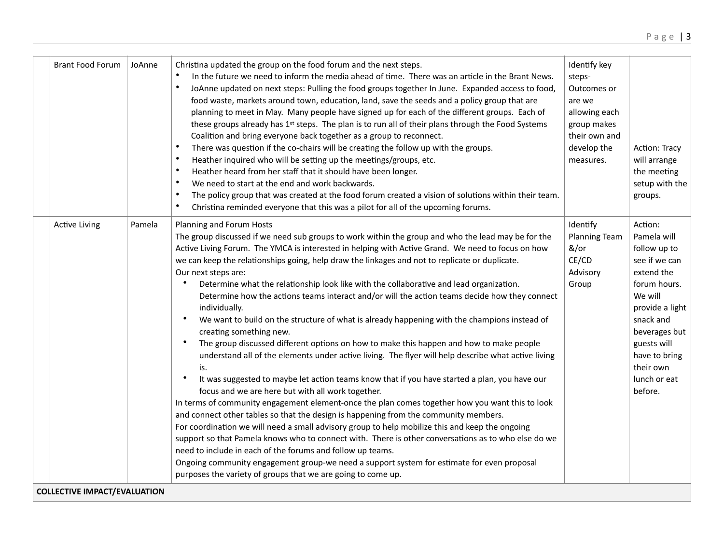| <b>Brant Food Forum</b>             | JoAnne | Christina updated the group on the food forum and the next steps.<br>In the future we need to inform the media ahead of time. There was an article in the Brant News.<br>$\bullet$<br>JoAnne updated on next steps: Pulling the food groups together In June. Expanded access to food,<br>food waste, markets around town, education, land, save the seeds and a policy group that are<br>planning to meet in May. Many people have signed up for each of the different groups. Each of<br>these groups already has 1st steps. The plan is to run all of their plans through the Food Systems<br>Coalition and bring everyone back together as a group to reconnect.<br>$\bullet$<br>There was question if the co-chairs will be creating the follow up with the groups.<br>$\bullet$<br>Heather inquired who will be setting up the meetings/groups, etc.<br>Heather heard from her staff that it should have been longer.<br>$\bullet$<br>$\bullet$<br>We need to start at the end and work backwards.<br>$\bullet$<br>The policy group that was created at the food forum created a vision of solutions within their team.<br>$\bullet$<br>Christina reminded everyone that this was a pilot for all of the upcoming forums.                                                                                                                                                                                                                                                                                                                                                                                                                                                                                                                          | Identify key<br>steps-<br>Outcomes or<br>are we<br>allowing each<br>group makes<br>their own and<br>develop the<br>measures. | Action: Tracy<br>will arrange<br>the meeting<br>setup with the<br>groups.                                                                                                                                                 |  |  |
|-------------------------------------|--------|----------------------------------------------------------------------------------------------------------------------------------------------------------------------------------------------------------------------------------------------------------------------------------------------------------------------------------------------------------------------------------------------------------------------------------------------------------------------------------------------------------------------------------------------------------------------------------------------------------------------------------------------------------------------------------------------------------------------------------------------------------------------------------------------------------------------------------------------------------------------------------------------------------------------------------------------------------------------------------------------------------------------------------------------------------------------------------------------------------------------------------------------------------------------------------------------------------------------------------------------------------------------------------------------------------------------------------------------------------------------------------------------------------------------------------------------------------------------------------------------------------------------------------------------------------------------------------------------------------------------------------------------------------------------------------------------------------------------------------------------------------|------------------------------------------------------------------------------------------------------------------------------|---------------------------------------------------------------------------------------------------------------------------------------------------------------------------------------------------------------------------|--|--|
| <b>Active Living</b>                | Pamela | Planning and Forum Hosts<br>The group discussed if we need sub groups to work within the group and who the lead may be for the<br>Active Living Forum. The YMCA is interested in helping with Active Grand. We need to focus on how<br>we can keep the relationships going, help draw the linkages and not to replicate or duplicate.<br>Our next steps are:<br>Determine what the relationship look like with the collaborative and lead organization.<br>$\bullet$<br>Determine how the actions teams interact and/or will the action teams decide how they connect<br>individually.<br>We want to build on the structure of what is already happening with the champions instead of<br>$\bullet$<br>creating something new.<br>$\bullet$<br>The group discussed different options on how to make this happen and how to make people<br>understand all of the elements under active living. The flyer will help describe what active living<br>is.<br>$\bullet$<br>It was suggested to maybe let action teams know that if you have started a plan, you have our<br>focus and we are here but with all work together.<br>In terms of community engagement element-once the plan comes together how you want this to look<br>and connect other tables so that the design is happening from the community members.<br>For coordination we will need a small advisory group to help mobilize this and keep the ongoing<br>support so that Pamela knows who to connect with. There is other conversations as to who else do we<br>need to include in each of the forums and follow up teams.<br>Ongoing community engagement group-we need a support system for estimate for even proposal<br>purposes the variety of groups that we are going to come up. | Identify<br>Planning Team<br>&/or<br>CE/CD<br>Advisory<br>Group                                                              | Action:<br>Pamela will<br>follow up to<br>see if we can<br>extend the<br>forum hours.<br>We will<br>provide a light<br>snack and<br>beverages but<br>guests will<br>have to bring<br>their own<br>lunch or eat<br>before. |  |  |
| <b>COLLECTIVE IMPACT/EVALUATION</b> |        |                                                                                                                                                                                                                                                                                                                                                                                                                                                                                                                                                                                                                                                                                                                                                                                                                                                                                                                                                                                                                                                                                                                                                                                                                                                                                                                                                                                                                                                                                                                                                                                                                                                                                                                                                          |                                                                                                                              |                                                                                                                                                                                                                           |  |  |